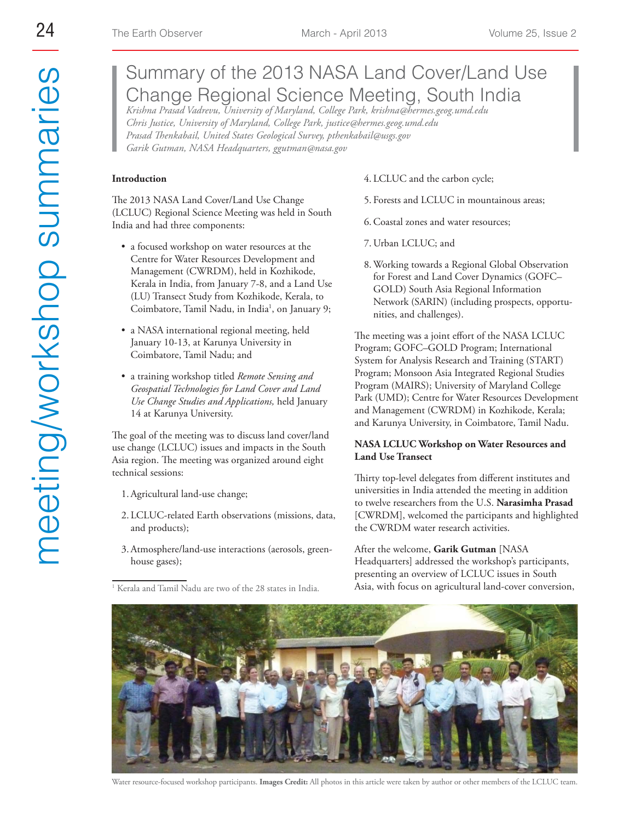# Summary of the 2013 NASA Land Cover/Land Use Change Regional Science Meeting, South India

*Krishna Prasad Vadrevu, University of Maryland, College Park, krishna@hermes.geog.umd.edu Chris Justice, University of Maryland, College Park, justice@hermes.geog.umd.edu Prasad Thenkabail, United States Geological Survey, pthenkabail@usgs.gov Garik Gutman, NASA Headquarters, ggutman@nasa.gov*

#### **Introduction**

The 2013 NASA Land Cover/Land Use Change (LCLUC) Regional Science Meeting was held in South India and had three components:

- a focused workshop on water resources at the Centre for Water Resources Development and Management (CWRDM), held in Kozhikode, Kerala in India, from January 7-8, and a Land Use (LU) Transect Study from Kozhikode, Kerala, to Coimbatore, Tamil Nadu, in India<sup>1</sup>, on January 9;
- a NASA international regional meeting, held January 10-13, at Karunya University in Coimbatore, Tamil Nadu; and
- a training workshop titled *Remote Sensing and Geospatial Technologies for Land Cover and Land Use Change Studies and Applications,* held January 14 at Karunya University.

The goal of the meeting was to discuss land cover/land use change (LCLUC) issues and impacts in the South Asia region. The meeting was organized around eight technical sessions:

- 1. Agricultural land-use change;
- 2. LCLUC-related Earth observations (missions, data, and products);
- 3. Atmosphere/land-use interactions (aerosols, greenhouse gases);
- <sup>1</sup> Kerala and Tamil Nadu are two of the 28 states in India.
- 4. LCLUC and the carbon cycle;
- 5. Forests and LCLUC in mountainous areas;
- 6. Coastal zones and water resources;
- 7. Urban LCLUC; and
- 8. Working towards a Regional Global Observation for Forest and Land Cover Dynamics (GOFC– GOLD) South Asia Regional Information Network (SARIN) (including prospects, opportunities, and challenges).

The meeting was a joint effort of the NASA LCLUC Program; GOFC–GOLD Program; International System for Analysis Research and Training (START) Program; Monsoon Asia Integrated Regional Studies Program (MAIRS); University of Maryland College Park (UMD); Centre for Water Resources Development and Management (CWRDM) in Kozhikode, Kerala; and Karunya University, in Coimbatore, Tamil Nadu.

#### **NASA LCLUC Workshop on Water Resources and Land Use Transect**

Thirty top-level delegates from different institutes and universities in India attended the meeting in addition to twelve researchers from the U.S. **Narasimha Prasad** [CWRDM], welcomed the participants and highlighted the CWRDM water research activities.

After the welcome, **Garik Gutman** [NASA Headquarters] addressed the workshop's participants, presenting an overview of LCLUC issues in South Asia, with focus on agricultural land-cover conversion,



Water resource-focused workshop participants. **Images Credit:** All photos in this article were taken by author or other members of the LCLUC team.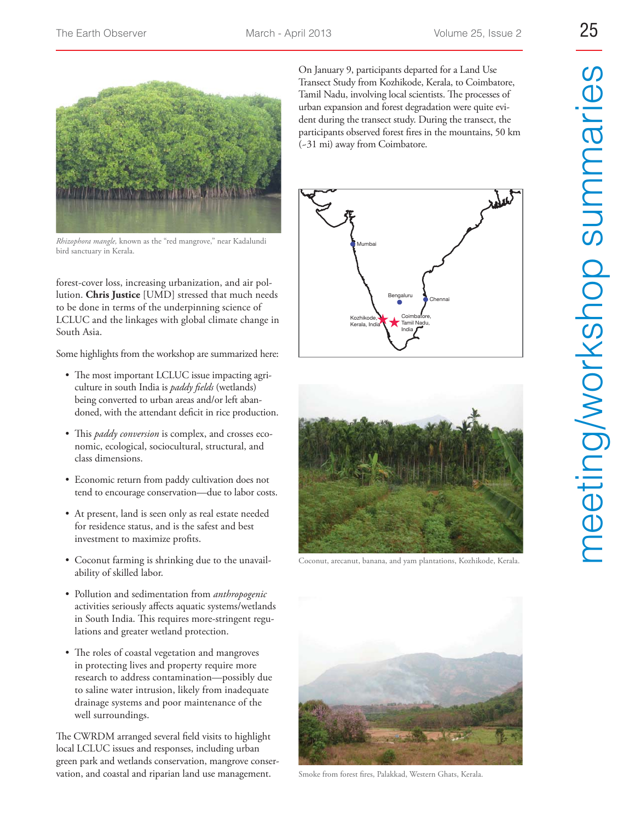

*Rhizophora mangle,* known as the "red mangrove," near Kadalundi bird sanctuary in Kerala.

forest-cover loss, increasing urbanization, and air pollution. **Chris Justice** [UMD] stressed that much needs to be done in terms of the underpinning science of LCLUC and the linkages with global climate change in South Asia.

Some highlights from the workshop are summarized here:

- The most important LCLUC issue impacting agriculture in south India is *paddy fields* (wetlands) being converted to urban areas and/or left abandoned, with the attendant deficit in rice production.
- This *paddy conversion* is complex, and crosses economic, ecological, sociocultural, structural, and class dimensions.
- Economic return from paddy cultivation does not tend to encourage conservation—due to labor costs.
- At present, land is seen only as real estate needed for residence status, and is the safest and best investment to maximize profits.
- Coconut farming is shrinking due to the unavailability of skilled labor.
- Pollution and sedimentation from *anthropogenic* activities seriously affects aquatic systems/wetlands in South India. This requires more-stringent regulations and greater wetland protection.
- The roles of coastal vegetation and mangroves in protecting lives and property require more research to address contamination—possibly due to saline water intrusion, likely from inadequate drainage systems and poor maintenance of the well surroundings.

The CWRDM arranged several field visits to highlight local LCLUC issues and responses, including urban green park and wetlands conservation, mangrove conservation, and coastal and riparian land use management.

On January 9, participants departed for a Land Use Transect Study from Kozhikode, Kerala, to Coimbatore, Tamil Nadu, involving local scientists. The processes of urban expansion and forest degradation were quite evident during the transect study. During the transect, the participants observed forest fires in the mountains, 50 km (~31 mi) away from Coimbatore.





Coconut, arecanut, banana, and yam plantations, Kozhikode, Kerala.



Smoke from forest fires, Palakkad, Western Ghats, Kerala.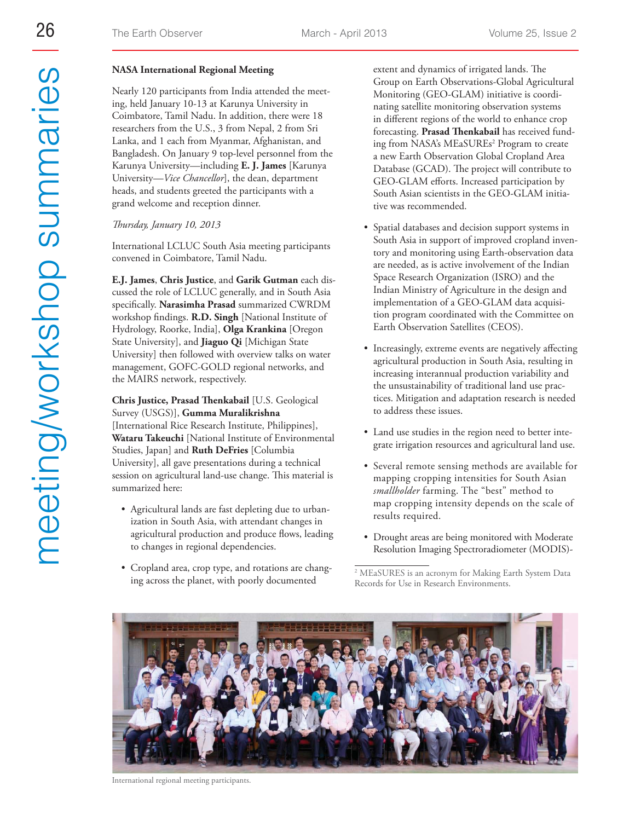## **NASA International Regional Meeting**

Nearly 120 participants from India attended the meeting, held January 10-13 at Karunya University in Coimbatore, Tamil Nadu. In addition, there were 18 researchers from the U.S., 3 from Nepal, 2 from Sri Lanka, and 1 each from Myanmar, Afghanistan, and Bangladesh. On January 9 top-level personnel from the Karunya University—including **E. J. James** [Karunya University—*Vice Chancellor*], the dean, department heads, and students greeted the participants with a grand welcome and reception dinner.

## *Thursday, January 10, 2013*

International LCLUC South Asia meeting participants convened in Coimbatore, Tamil Nadu.

**E.J. James**, **Chris Justice**, and **Garik Gutman** each discussed the role of LCLUC generally, and in South Asia specifically. **Narasimha Prasad** summarized CWRDM workshop findings. **R.D. Singh** [National Institute of Hydrology, Roorke, India], **Olga Krankina** [Oregon State University], and **Jiaguo Qi** [Michigan State University] then followed with overview talks on water management, GOFC-GOLD regional networks, and the MAIRS network, respectively.

**Chris Justice, Prasad Thenkabail** [U.S. Geological Survey (USGS)], **Gumma Muralikrishna** [International Rice Research Institute, Philippines], **Wataru Takeuchi** [National Institute of Environmental Studies, Japan] and **Ruth DeFries** [Columbia University], all gave presentations during a technical session on agricultural land-use change. This material is summarized here:

- Agricultural lands are fast depleting due to urbanization in South Asia, with attendant changes in agricultural production and produce flows, leading to changes in regional dependencies.
- Cropland area, crop type, and rotations are changing across the planet, with poorly documented

extent and dynamics of irrigated lands. The Group on Earth Observations-Global Agricultural Monitoring (GEO-GLAM) initiative is coordinating satellite monitoring observation systems in different regions of the world to enhance crop forecasting. **Prasad Thenkabail** has received funding from NASA's MEaSUREs<sup>2</sup> Program to create a new Earth Observation Global Cropland Area Database (GCAD). The project will contribute to GEO-GLAM efforts. Increased participation by South Asian scientists in the GEO-GLAM initiative was recommended.

- Spatial databases and decision support systems in South Asia in support of improved cropland inventory and monitoring using Earth-observation data are needed, as is active involvement of the Indian Space Research Organization (ISRO) and the Indian Ministry of Agriculture in the design and implementation of a GEO-GLAM data acquisition program coordinated with the Committee on Earth Observation Satellites (CEOS).
- Increasingly, extreme events are negatively affecting agricultural production in South Asia, resulting in increasing interannual production variability and the unsustainability of traditional land use practices. Mitigation and adaptation research is needed to address these issues.
- Land use studies in the region need to better integrate irrigation resources and agricultural land use.
- Several remote sensing methods are available for mapping cropping intensities for South Asian *smallholder* farming. The "best" method to map cropping intensity depends on the scale of results required.
- Drought areas are being monitored with Moderate Resolution Imaging Spectroradiometer (MODIS)-

<sup>2</sup> MEaSURES is an acronym for Making Earth System Data Records for Use in Research Environments.



International regional meeting participants.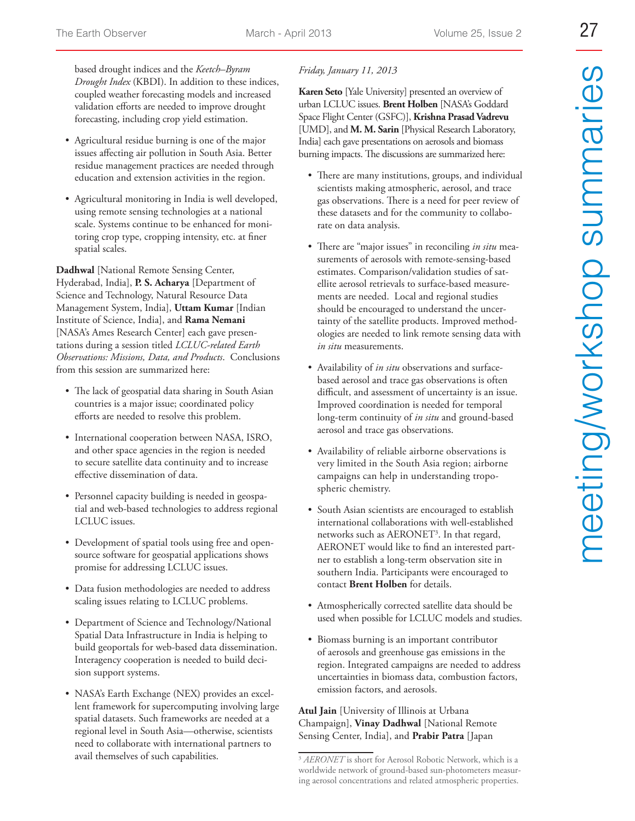based drought indices and the *Keetch–Byram Drought Index* (KBDI). In addition to these indices, coupled weather forecasting models and increased validation efforts are needed to improve drought forecasting, including crop yield estimation.

- Agricultural residue burning is one of the major issues affecting air pollution in South Asia. Better residue management practices are needed through education and extension activities in the region.
- Agricultural monitoring in India is well developed, using remote sensing technologies at a national scale. Systems continue to be enhanced for monitoring crop type, cropping intensity, etc. at finer spatial scales.

**Dadhwal** [National Remote Sensing Center, Hyderabad, India], **P. S. Acharya** [Department of Science and Technology, Natural Resource Data Management System, India], **Uttam Kumar** [Indian Institute of Science, India], and **Rama Nemani** [NASA's Ames Research Center] each gave presentations during a session titled *LCLUC-related Earth Observations: Missions, Data, and Products*. Conclusions from this session are summarized here:

- The lack of geospatial data sharing in South Asian countries is a major issue; coordinated policy efforts are needed to resolve this problem.
- $\bullet$  International cooperation between NASA, ISRO, and other space agencies in the region is needed to secure satellite data continuity and to increase effective dissemination of data.
- Personnel capacity building is needed in geospatial and web-based technologies to address regional LCLUC issues.
- Development of spatial tools using free and opensource software for geospatial applications shows promise for addressing LCLUC issues.
- Data fusion methodologies are needed to address scaling issues relating to LCLUC problems.
- Department of Science and Technology/National Spatial Data Infrastructure in India is helping to build geoportals for web-based data dissemination. Interagency cooperation is needed to build decision support systems.
- NASA's Earth Exchange (NEX) provides an excellent framework for supercomputing involving large spatial datasets. Such frameworks are needed at a regional level in South Asia—otherwise, scientists need to collaborate with international partners to avail themselves of such capabilities.

## *Friday, January 11, 2013*

**Karen Seto** [Yale University] presented an overview of urban LCLUC issues. **Brent Holben** [NASA's Goddard Space Flight Center (GSFC)], **Krishna Prasad Vadrevu** [UMD], and **M. M. Sarin** [Physical Research Laboratory, India] each gave presentations on aerosols and biomass burning impacts. The discussions are summarized here:

- There are many institutions, groups, and individual scientists making atmospheric, aerosol, and trace gas observations. There is a need for peer review of these datasets and for the community to collaborate on data analysis.
- There are "major issues" in reconciling *in situ* measurements of aerosols with remote-sensing-based estimates. Comparison/validation studies of satellite aerosol retrievals to surface-based measurements are needed. Local and regional studies should be encouraged to understand the uncertainty of the satellite products. Improved methodologies are needed to link remote sensing data with *in situ* measurements.
- Availability of *in situ* observations and surfacebased aerosol and trace gas observations is often difficult, and assessment of uncertainty is an issue. Improved coordination is needed for temporal long-term continuity of *in situ* and ground-based aerosol and trace gas observations.
- Availability of reliable airborne observations is very limited in the South Asia region; airborne campaigns can help in understanding tropospheric chemistry.
- South Asian scientists are encouraged to establish international collaborations with well-established networks such as AERONET<sup>3</sup>. In that regard, AERONET would like to find an interested partner to establish a long-term observation site in southern India. Participants were encouraged to contact **Brent Holben** for details.
- Atmospherically corrected satellite data should be used when possible for LCLUC models and studies.
- Biomass burning is an important contributor of aerosols and greenhouse gas emissions in the region. Integrated campaigns are needed to address uncertainties in biomass data, combustion factors, emission factors, and aerosols.

## **Atul Jain** [University of Illinois at Urbana Champaign], **Vinay Dadhwal** [National Remote Sensing Center, India], and **Prabir Patra** [Japan

<sup>&</sup>lt;sup>3</sup> AERONET is short for Aerosol Robotic Network, which is a worldwide network of ground-based sun-photometers measuring aerosol concentrations and related atmospheric properties.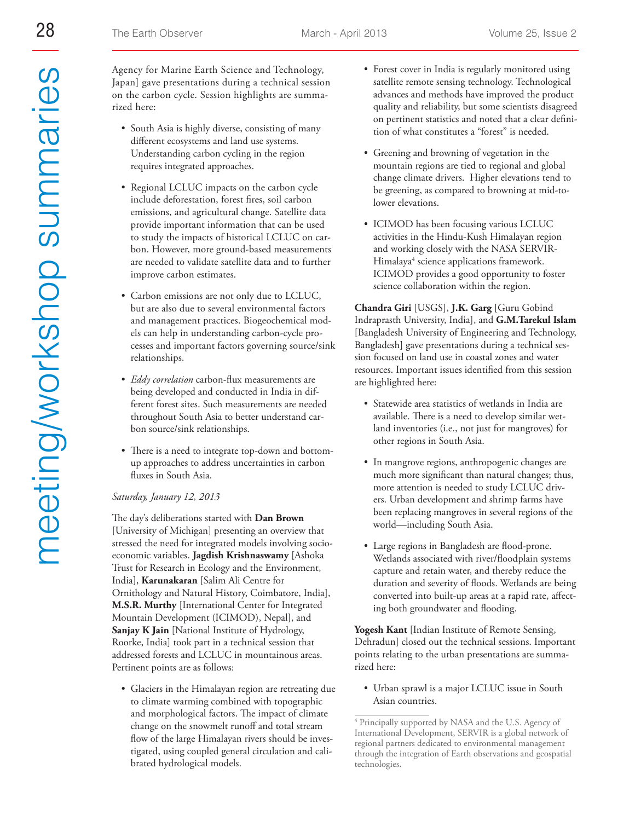Agency for Marine Earth Science and Technology, Japan] gave presentations during a technical session on the carbon cycle. Session highlights are summarized here:

- South Asia is highly diverse, consisting of many different ecosystems and land use systems. Understanding carbon cycling in the region requires integrated approaches.
- Regional LCLUC impacts on the carbon cycle include deforestation, forest fires, soil carbon emissions, and agricultural change. Satellite data provide important information that can be used to study the impacts of historical LCLUC on carbon. However, more ground-based measurements are needed to validate satellite data and to further improve carbon estimates.
- Carbon emissions are not only due to LCLUC, but are also due to several environmental factors and management practices. Biogeochemical models can help in understanding carbon-cycle processes and important factors governing source/sink relationships.
- *Eddy correlation* carbon-flux measurements are being developed and conducted in India in different forest sites. Such measurements are needed throughout South Asia to better understand carbon source/sink relationships.
- There is a need to integrate top-down and bottomup approaches to address uncertainties in carbon fluxes in South Asia.

#### *Saturday, January 12, 2013*

The day's deliberations started with **Dan Brown** [University of Michigan] presenting an overview that stressed the need for integrated models involving socioeconomic variables. **Jagdish Krishnaswamy** [Ashoka Trust for Research in Ecology and the Environment, India], **Karunakaran** [Salim Ali Centre for Ornithology and Natural History, Coimbatore, India], **M.S.R. Murthy** [International Center for Integrated Mountain Development (ICIMOD), Nepal], and **Sanjay K Jain** [National Institute of Hydrology, Roorke, India] took part in a technical session that addressed forests and LCLUC in mountainous areas. Pertinent points are as follows:

• Glaciers in the Himalayan region are retreating due to climate warming combined with topographic and morphological factors. The impact of climate change on the snowmelt runoff and total stream flow of the large Himalayan rivers should be investigated, using coupled general circulation and calibrated hydrological models.

- Forest cover in India is regularly monitored using satellite remote sensing technology. Technological advances and methods have improved the product quality and reliability, but some scientists disagreed on pertinent statistics and noted that a clear definition of what constitutes a "forest" is needed.
- Greening and browning of vegetation in the mountain regions are tied to regional and global change climate drivers. Higher elevations tend to be greening, as compared to browning at mid-tolower elevations.
- ICIMOD has been focusing various LCLUC activities in the Hindu-Kush Himalayan region and working closely with the NASA SERVIR-Himalaya<sup>4</sup> science applications framework. ICIMOD provides a good opportunity to foster science collaboration within the region.

**Chandra Giri** [USGS], **J.K. Garg** [Guru Gobind Indraprasth University, India], and **G.M.Tarekul Islam** [Bangladesh University of Engineering and Technology, Bangladesh] gave presentations during a technical session focused on land use in coastal zones and water resources. Important issues identified from this session are highlighted here:

- Statewide area statistics of wetlands in India are available. There is a need to develop similar wetland inventories (i.e., not just for mangroves) for other regions in South Asia.
- In mangrove regions, anthropogenic changes are much more significant than natural changes; thus, more attention is needed to study LCLUC drivers. Urban development and shrimp farms have been replacing mangroves in several regions of the world—including South Asia.
- Large regions in Bangladesh are flood-prone. Wetlands associated with river/floodplain systems capture and retain water, and thereby reduce the duration and severity of floods. Wetlands are being converted into built-up areas at a rapid rate, affecting both groundwater and flooding.

**Yogesh Kant** [Indian Institute of Remote Sensing, Dehradun] closed out the technical sessions. Important points relating to the urban presentations are summarized here:

• Urban sprawl is a major LCLUC issue in South Asian countries.

<sup>4</sup> Principally supported by NASA and the U.S. Agency of International Development, SERVIR is a global network of regional partners dedicated to environmental management through the integration of Earth observations and geospatial technologies.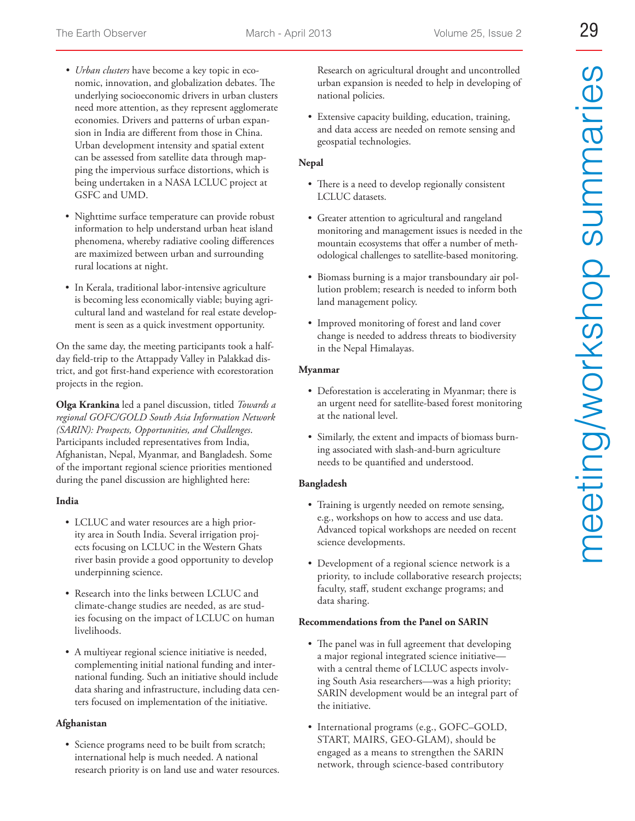- *t Urban clusters* have become a key topic in economic, innovation, and globalization debates. The underlying socioeconomic drivers in urban clusters need more attention, as they represent agglomerate economies. Drivers and patterns of urban expansion in India are different from those in China. Urban development intensity and spatial extent can be assessed from satellite data through mapping the impervious surface distortions, which is being undertaken in a NASA LCLUC project at GSFC and UMD.
- Nighttime surface temperature can provide robust information to help understand urban heat island phenomena, whereby radiative cooling differences are maximized between urban and surrounding rural locations at night.
- In Kerala, traditional labor-intensive agriculture is becoming less economically viable; buying agricultural land and wasteland for real estate development is seen as a quick investment opportunity.

On the same day, the meeting participants took a halfday field-trip to the Attappady Valley in Palakkad district, and got first-hand experience with ecorestoration projects in the region.

**Olga Krankina** led a panel discussion, titled *Towards a regional GOFC/GOLD South Asia Information Network (SARIN): Prospects, Opportunities, and Challenges*. Participants included representatives from India, Afghanistan, Nepal, Myanmar, and Bangladesh. Some of the important regional science priorities mentioned during the panel discussion are highlighted here:

## **India**

- LCLUC and water resources are a high priority area in South India. Several irrigation projects focusing on LCLUC in the Western Ghats river basin provide a good opportunity to develop underpinning science.
- Research into the links between LCLUC and climate-change studies are needed, as are studies focusing on the impact of LCLUC on human livelihoods.
- A multiyear regional science initiative is needed, complementing initial national funding and international funding. Such an initiative should include data sharing and infrastructure, including data centers focused on implementation of the initiative.

## **Afghanistan**

• Science programs need to be built from scratch; international help is much needed. A national research priority is on land use and water resources. Research on agricultural drought and uncontrolled urban expansion is needed to help in developing of national policies.

• Extensive capacity building, education, training, and data access are needed on remote sensing and geospatial technologies.

# **Nepal**

- There is a need to develop regionally consistent LCLUC datasets.
- Greater attention to agricultural and rangeland monitoring and management issues is needed in the mountain ecosystems that offer a number of methodological challenges to satellite-based monitoring.
- Biomass burning is a major transboundary air pollution problem; research is needed to inform both land management policy.
- Improved monitoring of forest and land cover change is needed to address threats to biodiversity in the Nepal Himalayas.

## **Myanmar**

- Deforestation is accelerating in Myanmar; there is an urgent need for satellite-based forest monitoring at the national level.
- Similarly, the extent and impacts of biomass burning associated with slash-and-burn agriculture needs to be quantified and understood.

# **Bangladesh**

- Training is urgently needed on remote sensing, e.g., workshops on how to access and use data. Advanced topical workshops are needed on recent science developments.
- Development of a regional science network is a priority, to include collaborative research projects; faculty, staff, student exchange programs; and data sharing.

## **Recommendations from the Panel on SARIN**

- The panel was in full agreement that developing a major regional integrated science initiative with a central theme of LCLUC aspects involving South Asia researchers—was a high priority; SARIN development would be an integral part of the initiative.
- International programs (e.g., GOFC–GOLD, START, MAIRS, GEO-GLAM), should be engaged as a means to strengthen the SARIN network, through science-based contributory